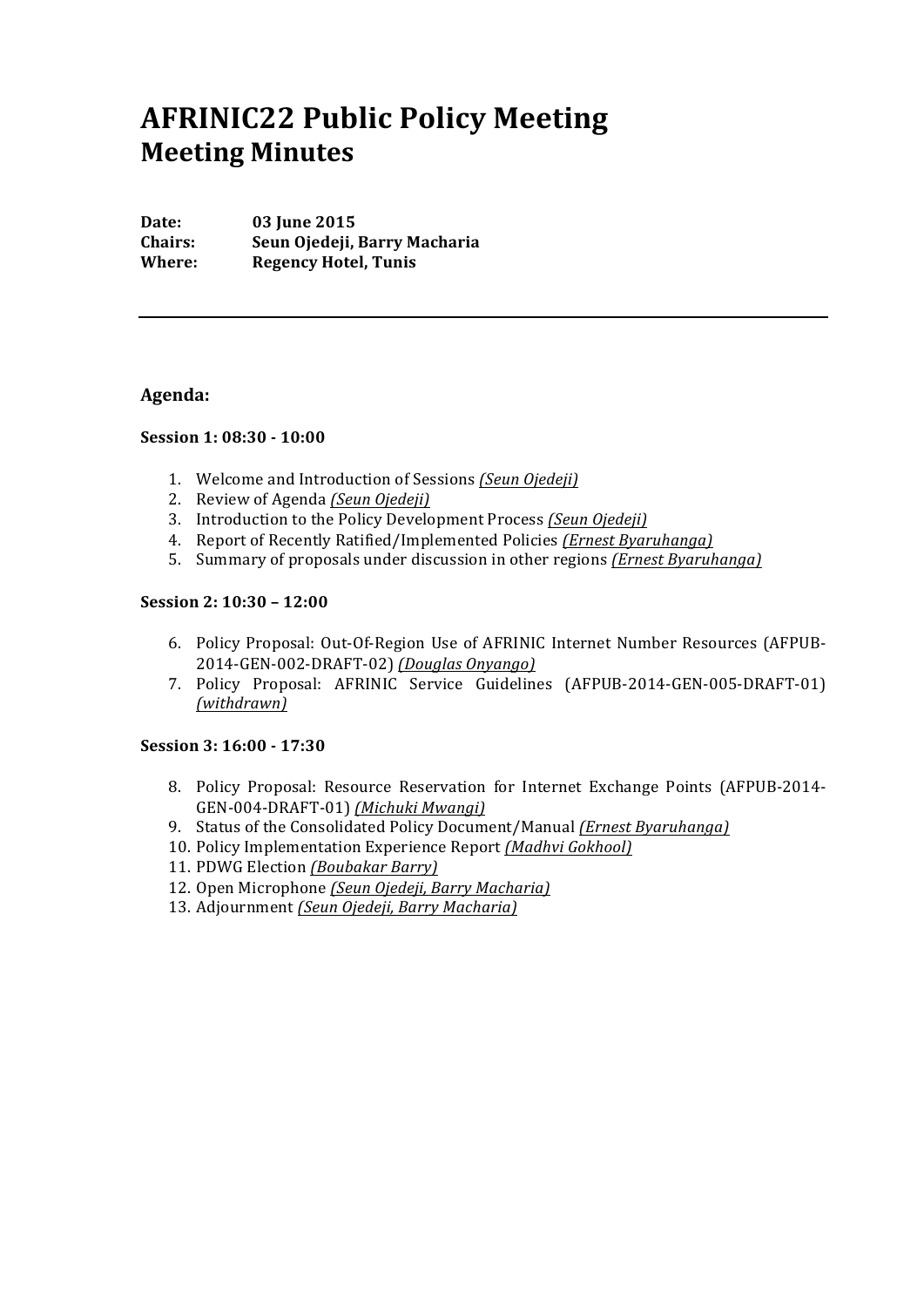# **AFRINIC22 Public Policy Meeting Meeting Minutes**

**Date:** 03 **June 2015 Chairs: Seun Ojedeji, Barry Macharia Where:** Regency Hotel, Tunis

## **Agenda:**

## **Session 1: 08:30 - 10:00**

- 1. Welcome and Introduction of Sessions *(Seun Ojedeji)*
- 2. Review of Agenda *(Seun Ojedeji)*
- 3. Introduction to the Policy Development Process *(Seun Ojedeji)*
- 4. Report of Recently Ratified/Implemented Policies *(Ernest Byaruhanga)*
- 5. Summary of proposals under discussion in other regions *(Ernest Byaruhanga)*

#### **Session 2: 10:30 – 12:00**

- 6. Policy Proposal: Out-Of-Region Use of AFRINIC Internet Number Resources (AFPUB-2014-GEN-002-DRAFT-02) *(Douglas Onyango)*
- 7. Policy Proposal: AFRINIC Service Guidelines (AFPUB-2014-GEN-005-DRAFT-01) *(withdrawn)*

#### **Session 3: 16:00 - 17:30**

- 8. Policy Proposal: Resource Reservation for Internet Exchange Points (AFPUB-2014-GEN-004-DRAFT-01) *(Michuki Mwangi)*
- 9. Status of the Consolidated Policy Document/Manual *(Ernest Byaruhanga)*
- 10. Policy Implementation Experience Report (Madhvi Gokhool)
- 11. PDWG Election *(Boubakar Barry)*
- 12. Open Microphone *(Seun Ojedeji, Barry Macharia)*
- 13. Adjournment *(Seun Ojedeji, Barry Macharia)*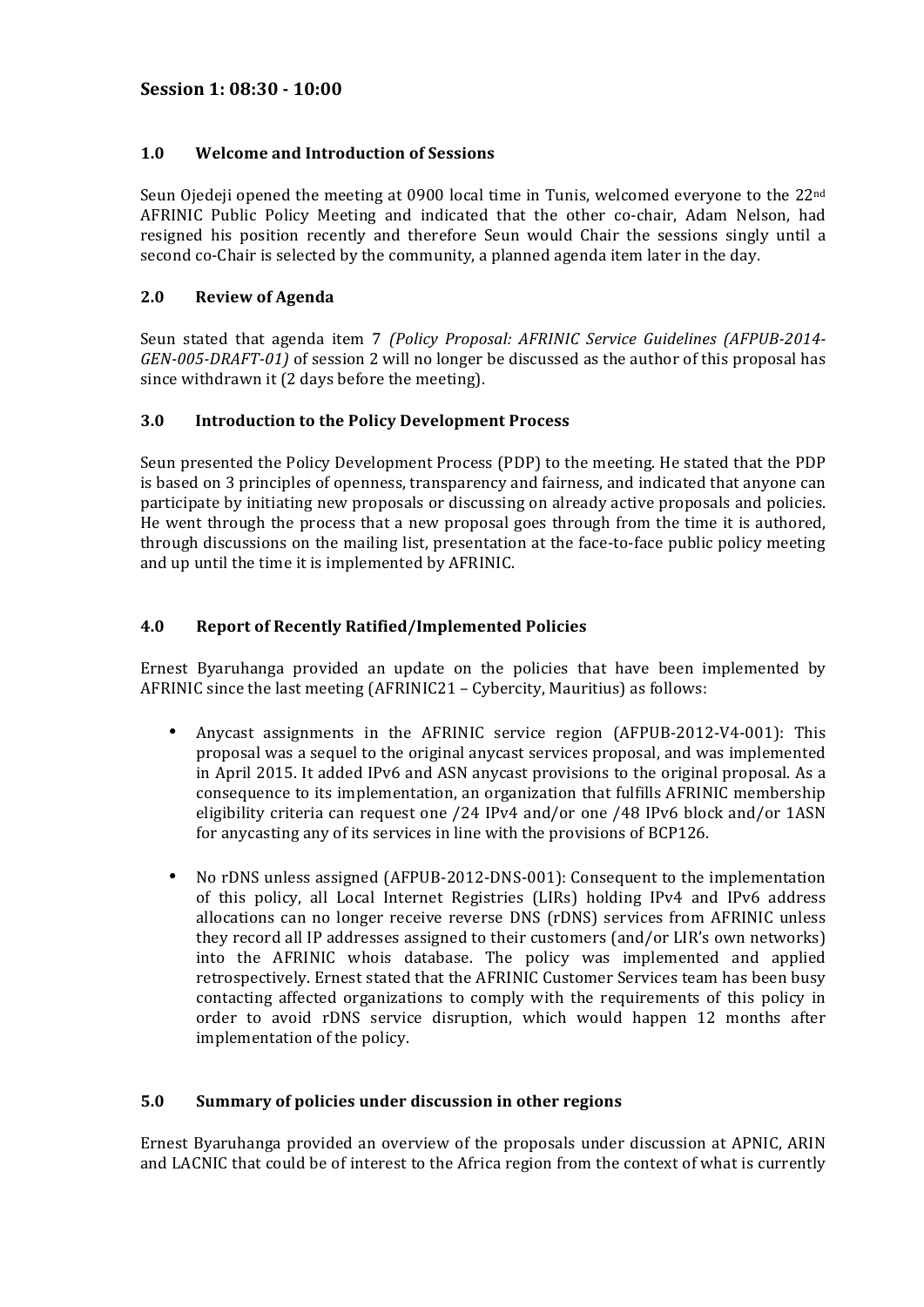# 1.0 Welcome and Introduction of Sessions

Seun Ojedeji opened the meeting at 0900 local time in Tunis, welcomed everyone to the 22<sup>nd</sup> AFRINIC Public Policy Meeting and indicated that the other co-chair, Adam Nelson, had resigned his position recently and therefore Seun would Chair the sessions singly until a second co-Chair is selected by the community, a planned agenda item later in the day.

# **2.0 Review of Agenda**

Seun stated that agenda item 7 *(Policy Proposal: AFRINIC Service Guidelines (AFPUB-2014-GEN-005-DRAFT-01)* of session 2 will no longer be discussed as the author of this proposal has since withdrawn it (2 days before the meeting).

# **3.0 Introduction to the Policy Development Process**

Seun presented the Policy Development Process (PDP) to the meeting. He stated that the PDP is based on 3 principles of openness, transparency and fairness, and indicated that anyone can participate by initiating new proposals or discussing on already active proposals and policies. He went through the process that a new proposal goes through from the time it is authored, through discussions on the mailing list, presentation at the face-to-face public policy meeting and up until the time it is implemented by AFRINIC.

# **4.0 Report of Recently Ratified/Implemented Policies**

Ernest Byaruhanga provided an update on the policies that have been implemented by AFRINIC since the last meeting  $(AFRINIC21 - Cybercity, Mauritius)$  as follows:

- Anycast assignments in the AFRINIC service region (AFPUB-2012-V4-001): This proposal was a sequel to the original anycast services proposal, and was implemented in April 2015. It added IPv6 and ASN anycast provisions to the original proposal. As a consequence to its implementation, an organization that fulfills AFRINIC membership eligibility criteria can request one /24 IPv4 and/or one /48 IPv6 block and/or 1ASN for anycasting any of its services in line with the provisions of BCP126.
- No rDNS unless assigned (AFPUB-2012-DNS-001): Consequent to the implementation of this policy, all Local Internet Registries (LIRs) holding IPv4 and IPv6 address allocations can no longer receive reverse DNS (rDNS) services from AFRINIC unless they record all IP addresses assigned to their customers (and/or LIR's own networks) into the AFRINIC whois database. The policy was implemented and applied retrospectively. Ernest stated that the AFRINIC Customer Services team has been busy contacting affected organizations to comply with the requirements of this policy in order to avoid rDNS service disruption, which would happen 12 months after implementation of the policy.

## **5.0** Summary of policies under discussion in other regions

Ernest Byaruhanga provided an overview of the proposals under discussion at APNIC, ARIN and LACNIC that could be of interest to the Africa region from the context of what is currently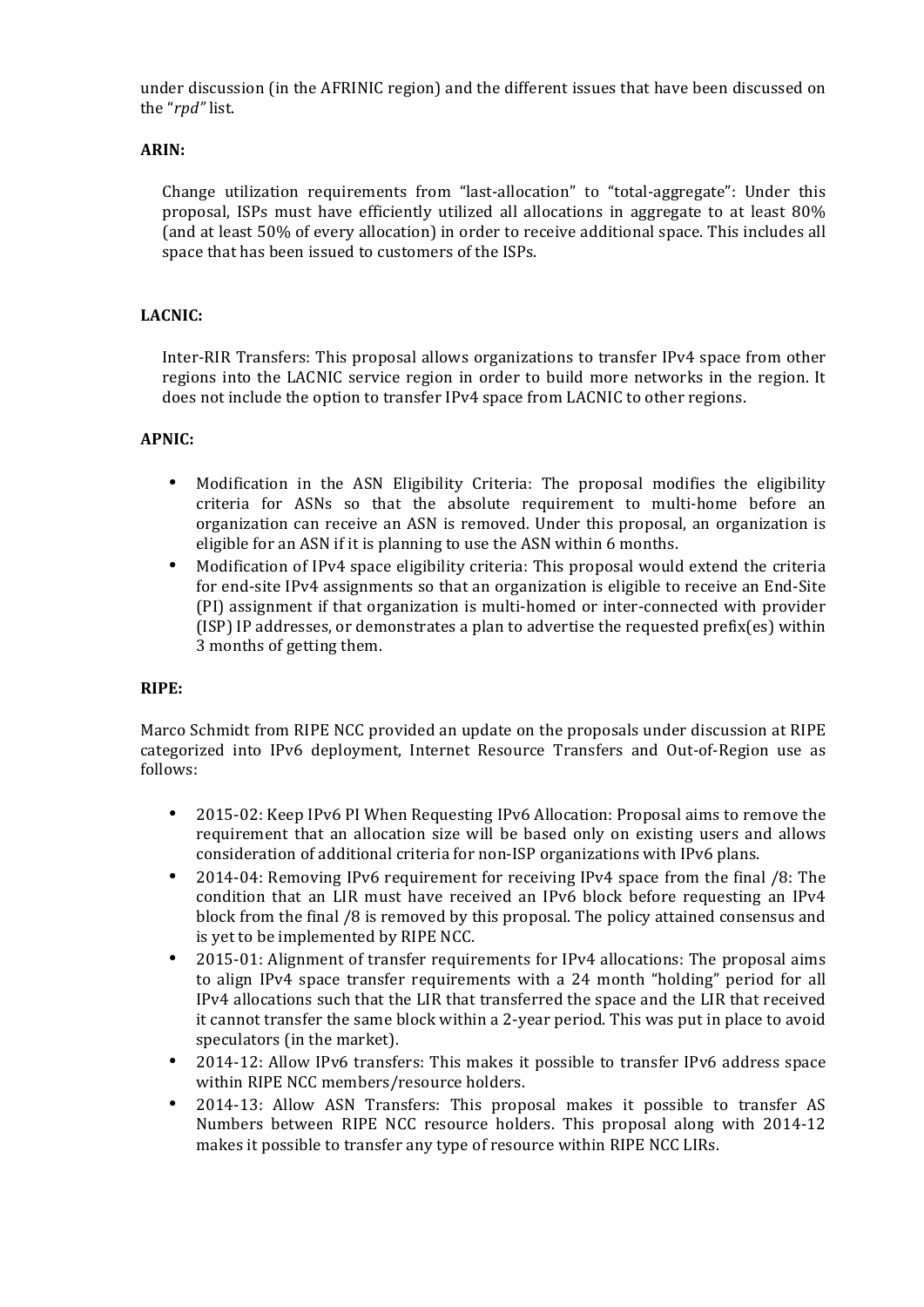under discussion (in the AFRINIC region) and the different issues that have been discussed on the "*rpd"* list.

## **ARIN:**

Change utilization requirements from "last-allocation" to "total-aggregate": Under this proposal, ISPs must have efficiently utilized all allocations in aggregate to at least 80% (and at least 50% of every allocation) in order to receive additional space. This includes all space that has been issued to customers of the ISPs.

## **LACNIC:**

Inter-RIR Transfers: This proposal allows organizations to transfer IPv4 space from other regions into the LACNIC service region in order to build more networks in the region. It does not include the option to transfer IPv4 space from LACNIC to other regions.

#### **APNIC:**

- Modification in the ASN Eligibility Criteria: The proposal modifies the eligibility criteria for ASNs so that the absolute requirement to multi-home before an organization can receive an ASN is removed. Under this proposal, an organization is eligible for an ASN if it is planning to use the ASN within 6 months.
- Modification of IPv4 space eligibility criteria: This proposal would extend the criteria for end-site IPv4 assignments so that an organization is eligible to receive an End-Site (PI) assignment if that organization is multi-homed or inter-connected with provider  $(ISP)$  IP addresses, or demonstrates a plan to advertise the requested prefix(es) within 3 months of getting them.

#### **RIPE:**

Marco Schmidt from RIPE NCC provided an update on the proposals under discussion at RIPE categorized into IPv6 deployment, Internet Resource Transfers and Out-of-Region use as follows:

- 2015-02: Keep IPv6 PI When Requesting IPv6 Allocation: Proposal aims to remove the requirement that an allocation size will be based only on existing users and allows consideration of additional criteria for non-ISP organizations with IPv6 plans.
- 2014-04: Removing IPv6 requirement for receiving IPv4 space from the final /8: The condition that an LIR must have received an IPv6 block before requesting an IPv4 block from the final /8 is removed by this proposal. The policy attained consensus and is yet to be implemented by RIPE NCC.
- 2015-01: Alignment of transfer requirements for IPv4 allocations: The proposal aims to align IPv4 space transfer requirements with a 24 month "holding" period for all IPv4 allocations such that the LIR that transferred the space and the LIR that received it cannot transfer the same block within a 2-year period. This was put in place to avoid speculators (in the market).
- 2014-12: Allow IPv6 transfers: This makes it possible to transfer IPv6 address space within RIPE NCC members/resource holders.
- 2014-13: Allow ASN Transfers: This proposal makes it possible to transfer AS Numbers between RIPE NCC resource holders. This proposal along with 2014-12 makes it possible to transfer any type of resource within RIPE NCC LIRs.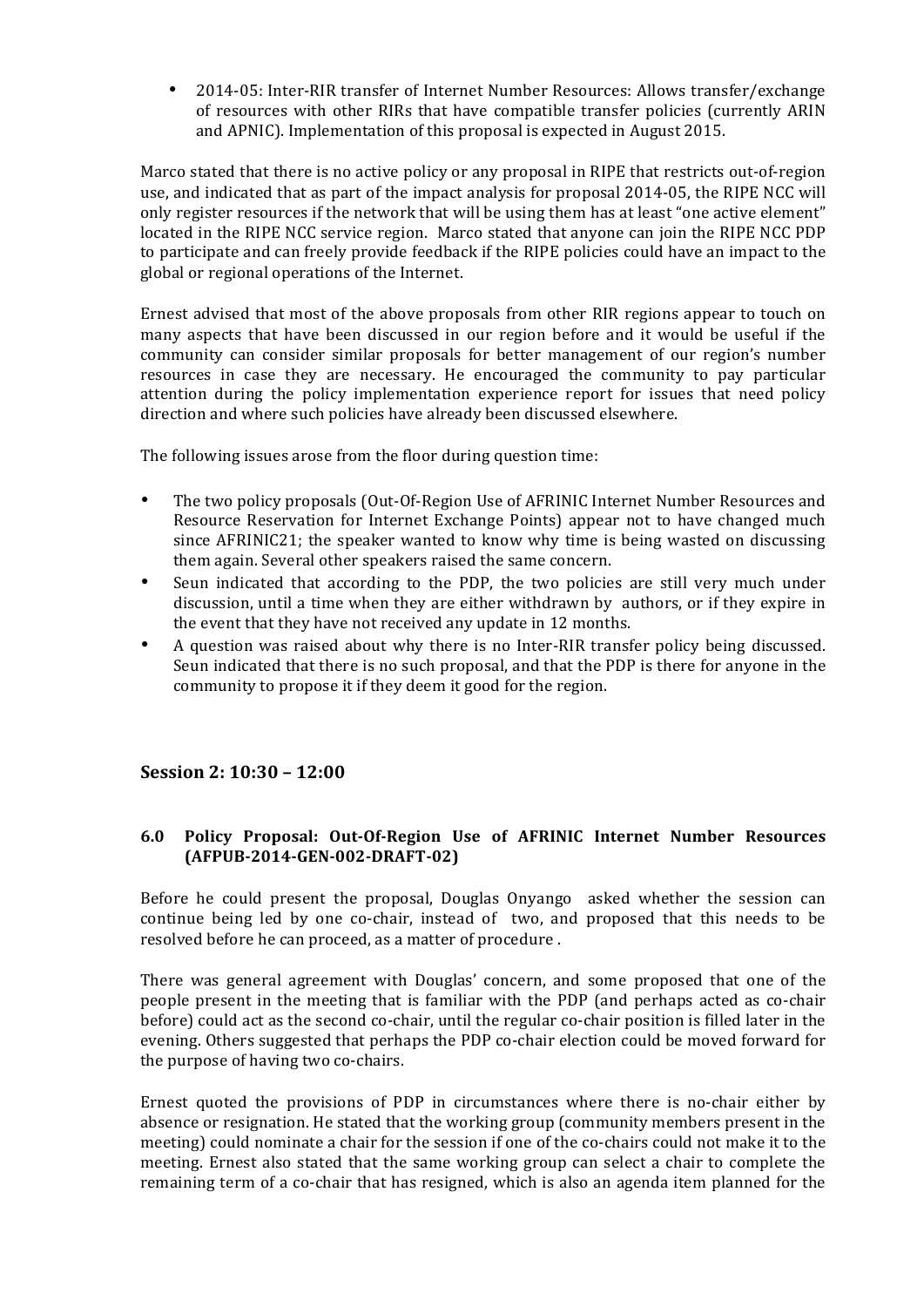• 2014-05: Inter-RIR transfer of Internet Number Resources: Allows transfer/exchange of resources with other RIRs that have compatible transfer policies (currently ARIN and APNIC). Implementation of this proposal is expected in August 2015.

Marco stated that there is no active policy or any proposal in RIPE that restricts out-of-region use, and indicated that as part of the impact analysis for proposal 2014-05, the RIPE NCC will only register resources if the network that will be using them has at least "one active element" located in the RIPE NCC service region. Marco stated that anyone can join the RIPE NCC PDP to participate and can freely provide feedback if the RIPE policies could have an impact to the global or regional operations of the Internet.

Ernest advised that most of the above proposals from other RIR regions appear to touch on many aspects that have been discussed in our region before and it would be useful if the community can consider similar proposals for better management of our region's number resources in case they are necessary. He encouraged the community to pay particular attention during the policy implementation experience report for issues that need policy direction and where such policies have already been discussed elsewhere.

The following issues arose from the floor during question time:

- The two policy proposals (Out-Of-Region Use of AFRINIC Internet Number Resources and Resource Reservation for Internet Exchange Points) appear not to have changed much since  $AFRINIC21$ ; the speaker wanted to know why time is being wasted on discussing them again. Several other speakers raised the same concern.
- Seun indicated that according to the PDP, the two policies are still very much under discussion, until a time when they are either withdrawn by authors, or if they expire in the event that they have not received any update in 12 months.
- A question was raised about why there is no Inter-RIR transfer policy being discussed. Seun indicated that there is no such proposal, and that the PDP is there for anyone in the community to propose it if they deem it good for the region.

# **Session 2: 10:30 – 12:00**

## **6.0 Policy Proposal: Out-Of-Region Use of AFRINIC Internet Number Resources (AFPUB-2014-GEN-002-DRAFT-02)**

Before he could present the proposal, Douglas Onyango asked whether the session can continue being led by one co-chair, instead of two, and proposed that this needs to be resolved before he can proceed, as a matter of procedure .

There was general agreement with Douglas' concern, and some proposed that one of the people present in the meeting that is familiar with the PDP (and perhaps acted as co-chair before) could act as the second co-chair, until the regular co-chair position is filled later in the evening. Others suggested that perhaps the PDP co-chair election could be moved forward for the purpose of having two co-chairs.

Ernest quoted the provisions of PDP in circumstances where there is no-chair either by absence or resignation. He stated that the working group (community members present in the meeting) could nominate a chair for the session if one of the co-chairs could not make it to the meeting. Ernest also stated that the same working group can select a chair to complete the remaining term of a co-chair that has resigned, which is also an agenda item planned for the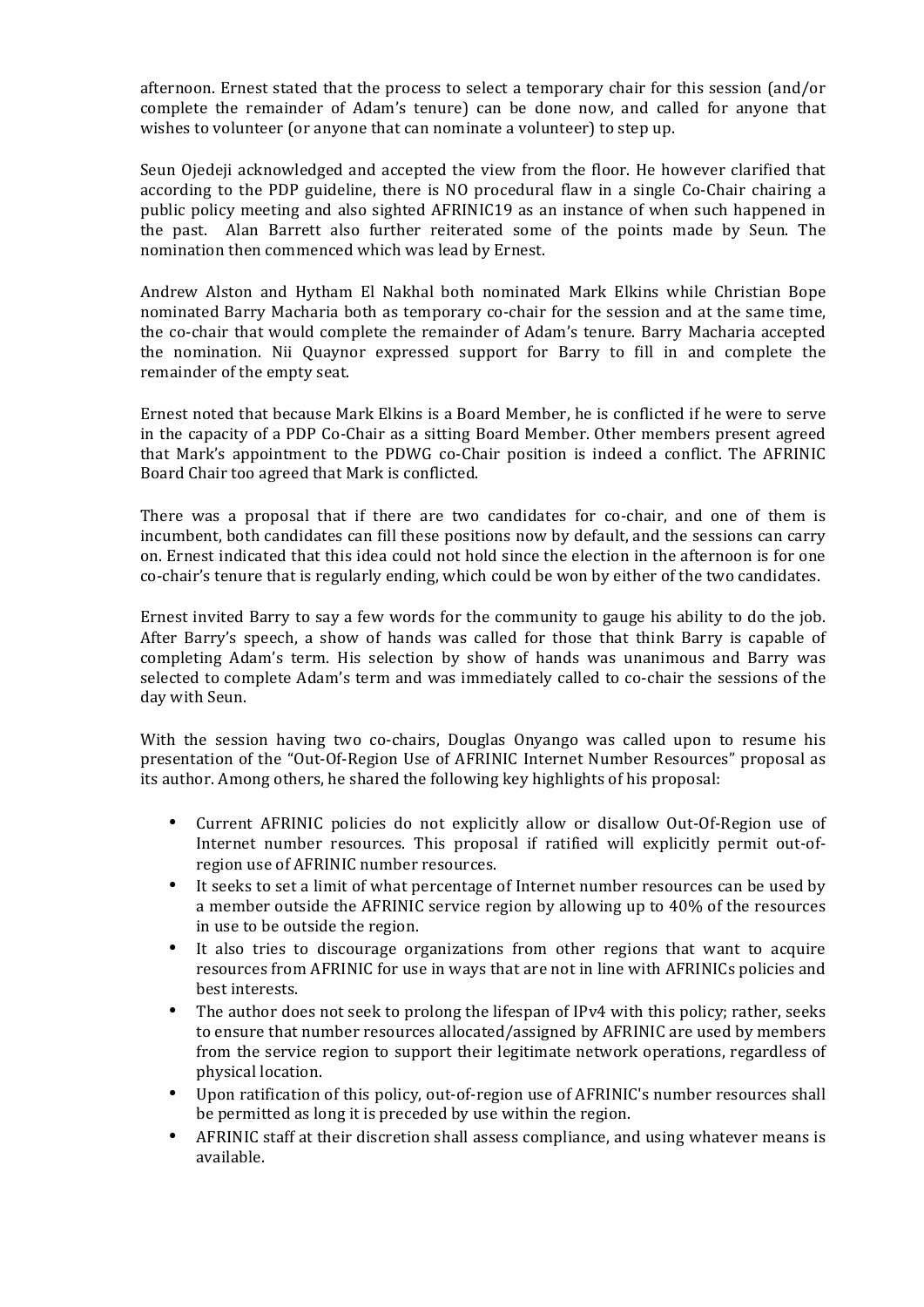afternoon. Ernest stated that the process to select a temporary chair for this session (and/or complete the remainder of Adam's tenure) can be done now, and called for anyone that wishes to volunteer (or anyone that can nominate a volunteer) to step up.

Seun Ojedeji acknowledged and accepted the view from the floor. He however clarified that according to the PDP guideline, there is NO procedural flaw in a single Co-Chair chairing a public policy meeting and also sighted AFRINIC19 as an instance of when such happened in the past. Alan Barrett also further reiterated some of the points made by Seun. The nomination then commenced which was lead by Ernest.

Andrew Alston and Hytham El Nakhal both nominated Mark Elkins while Christian Bope nominated Barry Macharia both as temporary co-chair for the session and at the same time, the co-chair that would complete the remainder of Adam's tenure. Barry Macharia accepted the nomination. Nii Quaynor expressed support for Barry to fill in and complete the remainder of the empty seat.

Ernest noted that because Mark Elkins is a Board Member, he is conflicted if he were to serve in the capacity of a PDP Co-Chair as a sitting Board Member. Other members present agreed that Mark's appointment to the PDWG co-Chair position is indeed a conflict. The AFRINIC Board Chair too agreed that Mark is conflicted.

There was a proposal that if there are two candidates for co-chair, and one of them is incumbent, both candidates can fill these positions now by default, and the sessions can carry on. Ernest indicated that this idea could not hold since the election in the afternoon is for one co-chair's tenure that is regularly ending, which could be won by either of the two candidates.

Ernest invited Barry to say a few words for the community to gauge his ability to do the job. After Barry's speech, a show of hands was called for those that think Barry is capable of completing Adam's term. His selection by show of hands was unanimous and Barry was selected to complete Adam's term and was immediately called to co-chair the sessions of the day with Seun.

With the session having two co-chairs, Douglas Onyango was called upon to resume his presentation of the "Out-Of-Region Use of AFRINIC Internet Number Resources" proposal as its author. Among others, he shared the following key highlights of his proposal:

- Current AFRINIC policies do not explicitly allow or disallow Out-Of-Region use of Internet number resources. This proposal if ratified will explicitly permit out-ofregion use of AFRINIC number resources.
- It seeks to set a limit of what percentage of Internet number resources can be used by a member outside the AFRINIC service region by allowing up to 40% of the resources in use to be outside the region.
- It also tries to discourage organizations from other regions that want to acquire resources from AFRINIC for use in ways that are not in line with AFRINICs policies and best interests.
- The author does not seek to prolong the lifespan of IPv4 with this policy; rather, seeks to ensure that number resources allocated/assigned by AFRINIC are used by members from the service region to support their legitimate network operations, regardless of physical location.
- Upon ratification of this policy, out-of-region use of AFRINIC's number resources shall be permitted as long it is preceded by use within the region.
- AFRINIC staff at their discretion shall assess compliance, and using whatever means is available.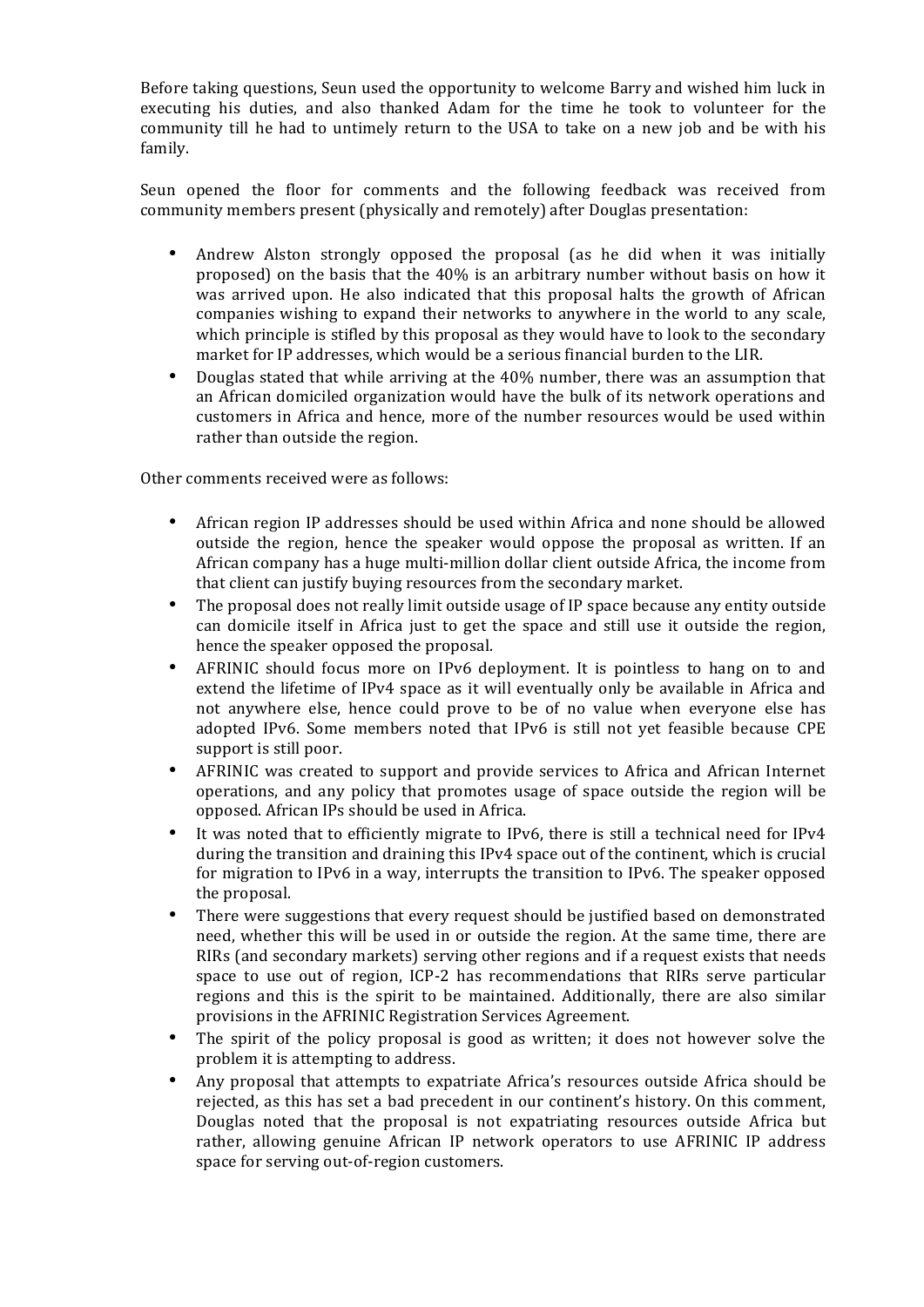Before taking questions, Seun used the opportunity to welcome Barry and wished him luck in executing his duties, and also thanked Adam for the time he took to volunteer for the community till he had to untimely return to the USA to take on a new job and be with his family.

Seun opened the floor for comments and the following feedback was received from community members present (physically and remotely) after Douglas presentation:

- Andrew Alston strongly opposed the proposal (as he did when it was initially proposed) on the basis that the  $40\%$  is an arbitrary number without basis on how it was arrived upon. He also indicated that this proposal halts the growth of African companies wishing to expand their networks to anywhere in the world to any scale, which principle is stifled by this proposal as they would have to look to the secondary market for IP addresses, which would be a serious financial burden to the LIR.
- Douglas stated that while arriving at the 40% number, there was an assumption that an African domiciled organization would have the bulk of its network operations and customers in Africa and hence, more of the number resources would be used within rather than outside the region.

Other comments received were as follows:

- African region IP addresses should be used within Africa and none should be allowed outside the region, hence the speaker would oppose the proposal as written. If an African company has a huge multi-million dollar client outside Africa, the income from that client can justify buying resources from the secondary market.
- The proposal does not really limit outside usage of IP space because any entity outside can domicile itself in Africa just to get the space and still use it outside the region, hence the speaker opposed the proposal.
- AFRINIC should focus more on IPv6 deployment. It is pointless to hang on to and extend the lifetime of IPv4 space as it will eventually only be available in Africa and not anywhere else, hence could prove to be of no value when everyone else has adopted IPv6. Some members noted that IPv6 is still not yet feasible because CPE support is still poor.
- AFRINIC was created to support and provide services to Africa and African Internet operations, and any policy that promotes usage of space outside the region will be opposed. African IPs should be used in Africa.
- It was noted that to efficiently migrate to IPv6, there is still a technical need for IPv4 during the transition and draining this  $IPv4$  space out of the continent, which is crucial for migration to IPv6 in a way, interrupts the transition to IPv6. The speaker opposed the proposal.
- There were suggestions that every request should be justified based on demonstrated need, whether this will be used in or outside the region. At the same time, there are RIRs (and secondary markets) serving other regions and if a request exists that needs space to use out of region, ICP-2 has recommendations that RIRs serve particular regions and this is the spirit to be maintained. Additionally, there are also similar provisions in the AFRINIC Registration Services Agreement.
- The spirit of the policy proposal is good as written; it does not however solve the problem it is attempting to address.
- Any proposal that attempts to expatriate Africa's resources outside Africa should be rejected, as this has set a bad precedent in our continent's history. On this comment, Douglas noted that the proposal is not expatriating resources outside Africa but rather, allowing genuine African IP network operators to use AFRINIC IP address space for serving out-of-region customers.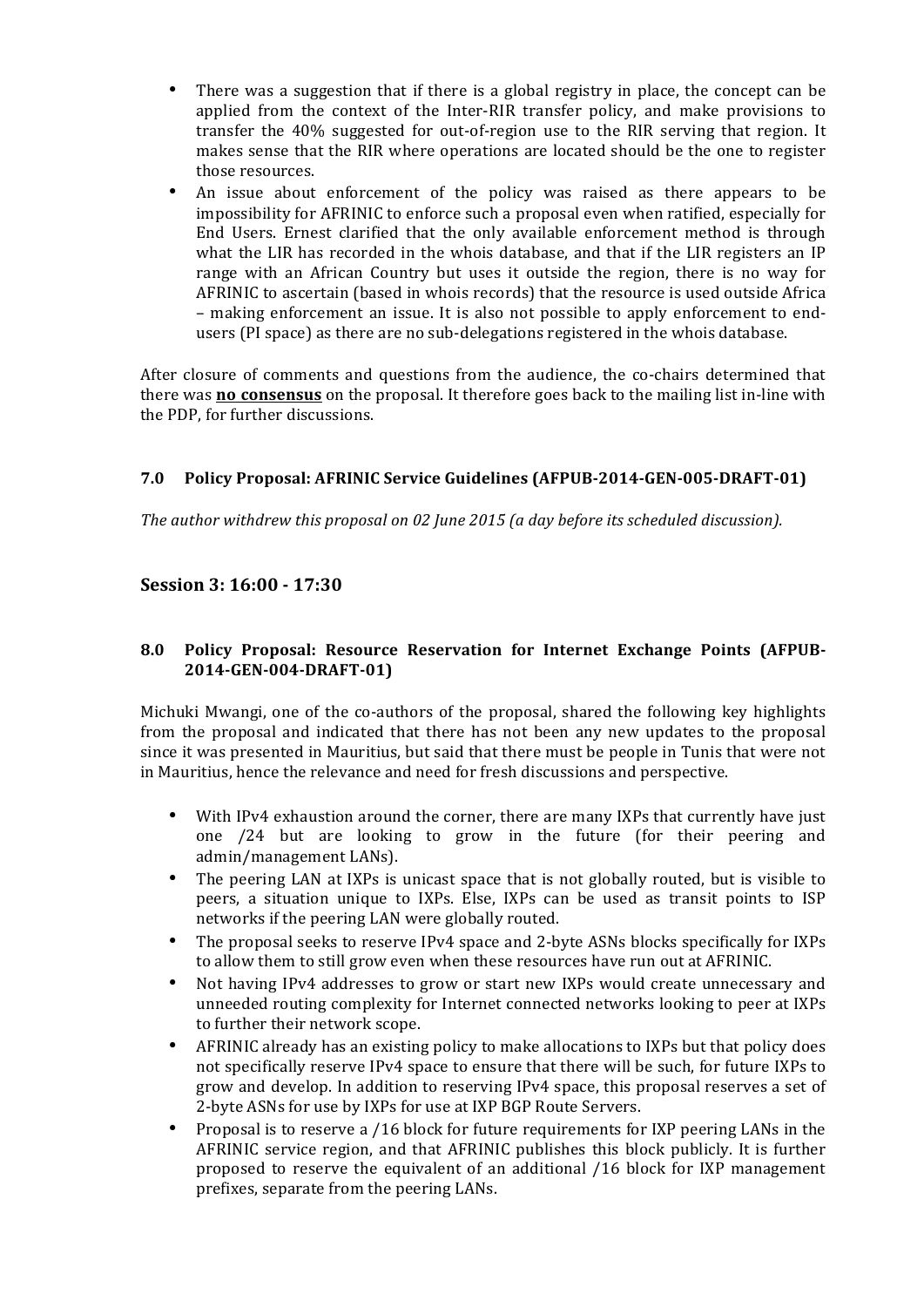- There was a suggestion that if there is a global registry in place, the concept can be applied from the context of the Inter-RIR transfer policy, and make provisions to transfer the 40% suggested for out-of-region use to the RIR serving that region. It makes sense that the RIR where operations are located should be the one to register those resources.
- An issue about enforcement of the policy was raised as there appears to be impossibility for AFRINIC to enforce such a proposal even when ratified, especially for End Users. Ernest clarified that the only available enforcement method is through what the LIR has recorded in the whois database, and that if the LIR registers an IP range with an African Country but uses it outside the region, there is no way for AFRINIC to ascertain (based in whois records) that the resource is used outside Africa – making enforcement an issue. It is also not possible to apply enforcement to endusers (PI space) as there are no sub-delegations registered in the whois database.

After closure of comments and questions from the audience, the co-chairs determined that there was **no consensus** on the proposal. It therefore goes back to the mailing list in-line with the PDP, for further discussions.

# **7.0** Policy Proposal: AFRINIC Service Guidelines (AFPUB-2014-GEN-005-DRAFT-01)

The author withdrew this proposal on 02 June 2015 (a day before its scheduled discussion).

# **Session 3: 16:00 - 17:30**

## **8.0** Policy Proposal: Resource Reservation for Internet Exchange Points (AFPUB-**2014-GEN-004-DRAFT-01)**

Michuki Mwangi, one of the co-authors of the proposal, shared the following key highlights from the proposal and indicated that there has not been any new updates to the proposal since it was presented in Mauritius, but said that there must be people in Tunis that were not in Mauritius, hence the relevance and need for fresh discussions and perspective.

- With IPv4 exhaustion around the corner, there are many IXPs that currently have just one /24 but are looking to grow in the future (for their peering and admin/management LANs).
- The peering LAN at IXPs is unicast space that is not globally routed, but is visible to peers, a situation unique to IXPs. Else, IXPs can be used as transit points to ISP networks if the peering LAN were globally routed.
- The proposal seeks to reserve IPv4 space and 2-byte ASNs blocks specifically for IXPs to allow them to still grow even when these resources have run out at AFRINIC.
- Not having IPv4 addresses to grow or start new IXPs would create unnecessary and unneeded routing complexity for Internet connected networks looking to peer at IXPs to further their network scope.
- AFRINIC already has an existing policy to make allocations to IXPs but that policy does not specifically reserve IPv4 space to ensure that there will be such, for future IXPs to grow and develop. In addition to reserving IPv4 space, this proposal reserves a set of 2-byte ASNs for use by IXPs for use at IXP BGP Route Servers.
- Proposal is to reserve a /16 block for future requirements for IXP peering LANs in the AFRINIC service region, and that AFRINIC publishes this block publicly. It is further proposed to reserve the equivalent of an additional /16 block for IXP management prefixes, separate from the peering LANs.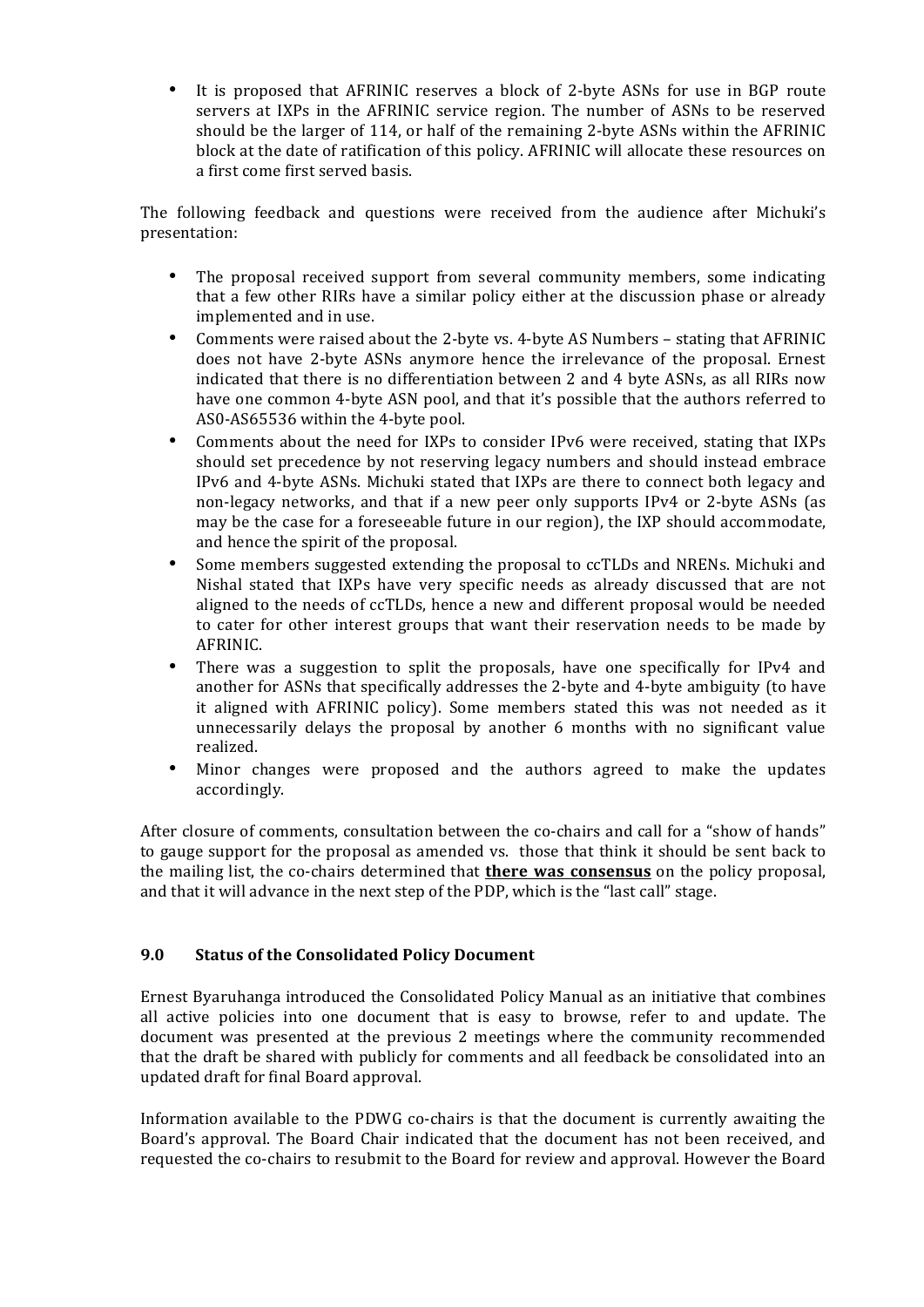It is proposed that AFRINIC reserves a block of 2-byte ASNs for use in BGP route servers at IXPs in the AFRINIC service region. The number of ASNs to be reserved should be the larger of 114, or half of the remaining 2-byte ASNs within the AFRINIC block at the date of ratification of this policy. AFRINIC will allocate these resources on a first come first served basis.

The following feedback and questions were received from the audience after Michuki's presentation:

- The proposal received support from several community members, some indicating that a few other RIRs have a similar policy either at the discussion phase or already implemented and in use.
- Comments were raised about the 2-byte vs. 4-byte AS Numbers stating that AFRINIC does not have 2-byte ASNs anymore hence the irrelevance of the proposal. Ernest indicated that there is no differentiation between  $2$  and  $4$  byte ASNs, as all RIRs now have one common 4-byte ASN pool, and that it's possible that the authors referred to AS0-AS65536 within the 4-byte pool.
- Comments about the need for IXPs to consider IPv6 were received, stating that IXPs should set precedence by not reserving legacy numbers and should instead embrace IPv6 and 4-byte ASNs. Michuki stated that IXPs are there to connect both legacy and non-legacy networks, and that if a new peer only supports IPv4 or 2-byte ASNs (as may be the case for a foreseeable future in our region), the IXP should accommodate, and hence the spirit of the proposal.
- Some members suggested extending the proposal to ccTLDs and NRENs. Michuki and Nishal stated that IXPs have very specific needs as already discussed that are not aligned to the needs of ccTLDs, hence a new and different proposal would be needed to cater for other interest groups that want their reservation needs to be made by AFRINIC.
- There was a suggestion to split the proposals, have one specifically for IPv4 and another for ASNs that specifically addresses the 2-byte and 4-byte ambiguity (to have it aligned with AFRINIC policy). Some members stated this was not needed as it unnecessarily delays the proposal by another  $6$  months with no significant value realized.
- Minor changes were proposed and the authors agreed to make the updates accordingly.

After closure of comments, consultation between the co-chairs and call for a "show of hands" to gauge support for the proposal as amended vs. those that think it should be sent back to the mailing list, the co-chairs determined that **there was consensus** on the policy proposal, and that it will advance in the next step of the PDP, which is the "last call" stage.

# **9.0** Status of the Consolidated Policy Document

Ernest Byaruhanga introduced the Consolidated Policy Manual as an initiative that combines all active policies into one document that is easy to browse, refer to and update. The document was presented at the previous 2 meetings where the community recommended that the draft be shared with publicly for comments and all feedback be consolidated into an updated draft for final Board approval.

Information available to the PDWG co-chairs is that the document is currently awaiting the Board's approval. The Board Chair indicated that the document has not been received, and requested the co-chairs to resubmit to the Board for review and approval. However the Board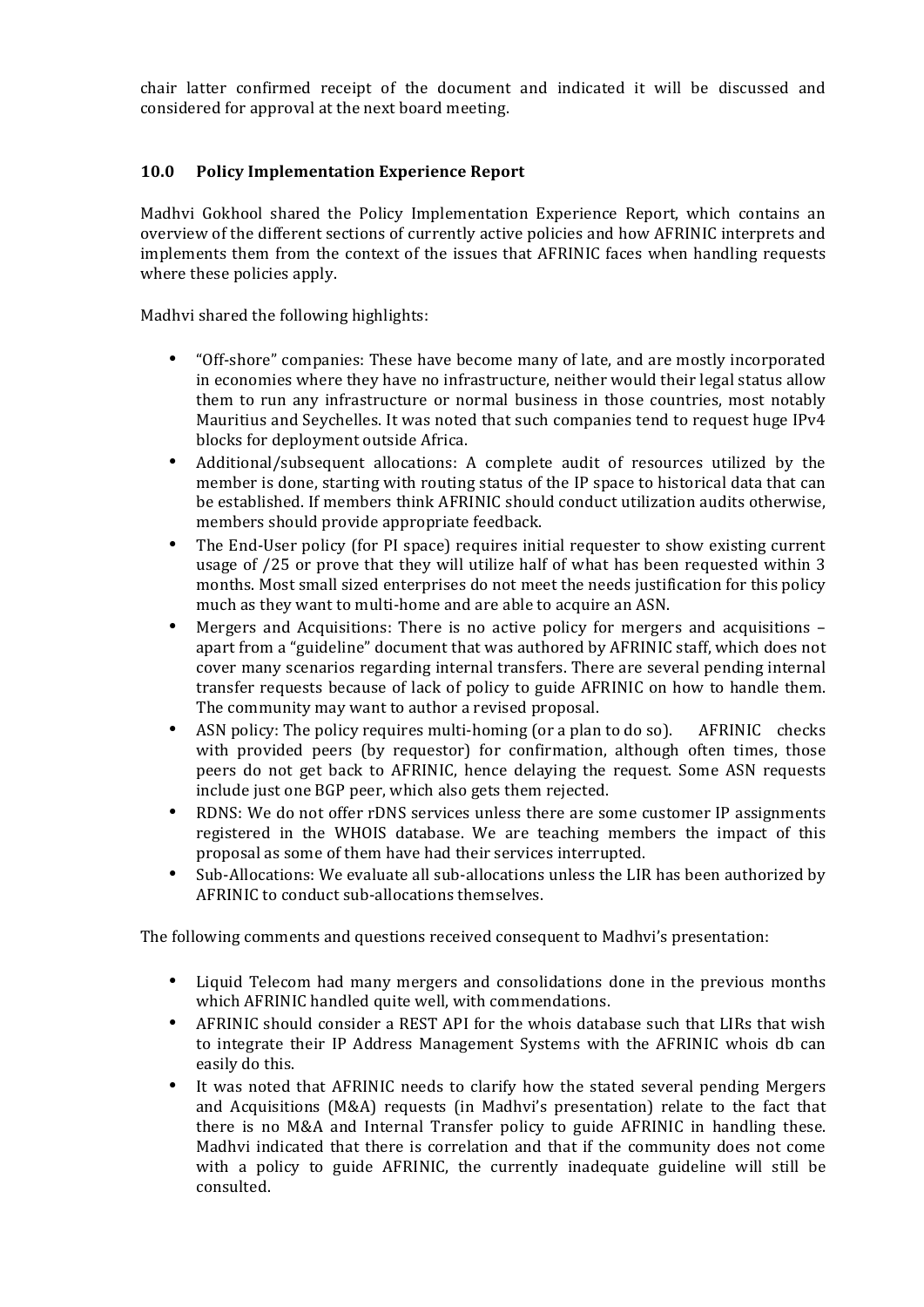chair latter confirmed receipt of the document and indicated it will be discussed and considered for approval at the next board meeting.

# **10.0 Policy Implementation Experience Report**

Madhvi Gokhool shared the Policy Implementation Experience Report, which contains an overview of the different sections of currently active policies and how AFRINIC interprets and implements them from the context of the issues that AFRINIC faces when handling requests where these policies apply.

Madhvi shared the following highlights:

- "Off-shore" companies: These have become many of late, and are mostly incorporated in economies where they have no infrastructure, neither would their legal status allow them to run any infrastructure or normal business in those countries, most notably Mauritius and Seychelles. It was noted that such companies tend to request huge IPv4 blocks for deployment outside Africa.
- Additional/subsequent allocations: A complete audit of resources utilized by the member is done, starting with routing status of the IP space to historical data that can be established. If members think AFRINIC should conduct utilization audits otherwise, members should provide appropriate feedback.
- The End-User policy (for PI space) requires initial requester to show existing current usage of /25 or prove that they will utilize half of what has been requested within 3 months. Most small sized enterprises do not meet the needs justification for this policy much as they want to multi-home and are able to acquire an ASN.
- Mergers and Acquisitions: There is no active policy for mergers and acquisitions  $$ apart from a "guideline" document that was authored by AFRINIC staff, which does not cover many scenarios regarding internal transfers. There are several pending internal transfer requests because of lack of policy to guide AFRINIC on how to handle them. The community may want to author a revised proposal.
- ASN policy: The policy requires multi-homing (or a plan to do so). AFRINIC checks with provided peers (by requestor) for confirmation, although often times, those peers do not get back to AFRINIC, hence delaying the request. Some ASN requests include just one BGP peer, which also gets them rejected.
- RDNS: We do not offer rDNS services unless there are some customer IP assignments registered in the WHOIS database. We are teaching members the impact of this proposal as some of them have had their services interrupted.
- Sub-Allocations: We evaluate all sub-allocations unless the LIR has been authorized by AFRINIC to conduct sub-allocations themselves.

The following comments and questions received consequent to Madhvi's presentation:

- Liquid Telecom had many mergers and consolidations done in the previous months which AFRINIC handled quite well, with commendations.
- AFRINIC should consider a REST API for the whois database such that LIRs that wish to integrate their IP Address Management Systems with the AFRINIC whois db can easily do this.
- It was noted that AFRINIC needs to clarify how the stated several pending Mergers and Acquisitions  $(M&A)$  requests (in Madhvi's presentation) relate to the fact that there is no M&A and Internal Transfer policy to guide AFRINIC in handling these. Madhvi indicated that there is correlation and that if the community does not come with a policy to guide AFRINIC, the currently inadequate guideline will still be consulted.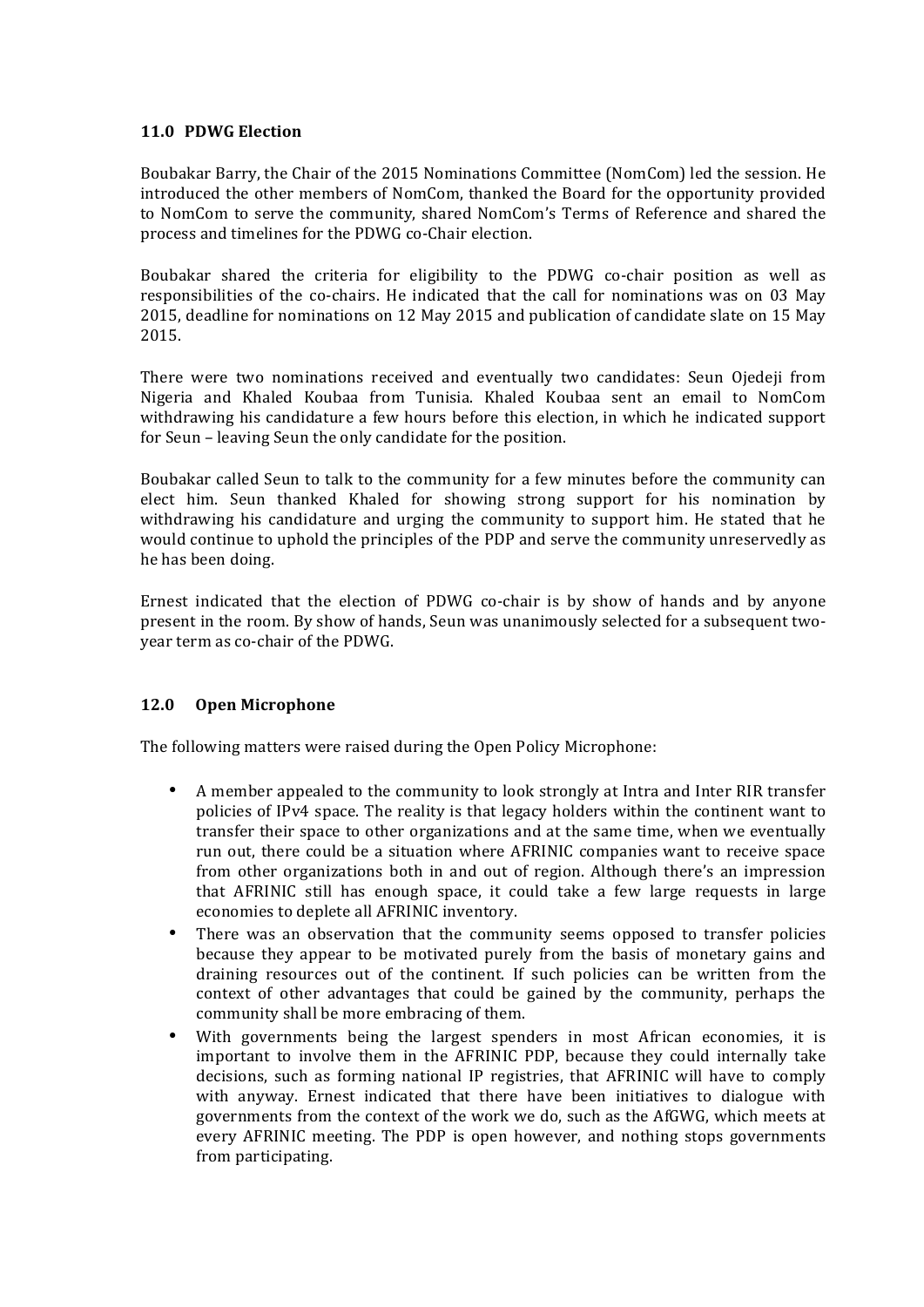## **11.0 PDWG Election**

Boubakar Barry, the Chair of the 2015 Nominations Committee (NomCom) led the session. He introduced the other members of NomCom, thanked the Board for the opportunity provided to NomCom to serve the community, shared NomCom's Terms of Reference and shared the process and timelines for the PDWG co-Chair election.

Boubakar shared the criteria for eligibility to the PDWG co-chair position as well as responsibilities of the co-chairs. He indicated that the call for nominations was on 03 May 2015, deadline for nominations on 12 May 2015 and publication of candidate slate on 15 May 2015.

There were two nominations received and eventually two candidates: Seun Ojedeji from Nigeria and Khaled Koubaa from Tunisia. Khaled Koubaa sent an email to NomCom withdrawing his candidature a few hours before this election, in which he indicated support for Seun – leaving Seun the only candidate for the position.

Boubakar called Seun to talk to the community for a few minutes before the community can elect him. Seun thanked Khaled for showing strong support for his nomination by withdrawing his candidature and urging the community to support him. He stated that he would continue to uphold the principles of the PDP and serve the community unreservedly as he has been doing.

Ernest indicated that the election of PDWG co-chair is by show of hands and by anyone present in the room. By show of hands, Seun was unanimously selected for a subsequent twoyear term as co-chair of the PDWG.

## **12.0 Open Microphone**

The following matters were raised during the Open Policy Microphone:

- A member appealed to the community to look strongly at Intra and Inter RIR transfer policies of IPv4 space. The reality is that legacy holders within the continent want to transfer their space to other organizations and at the same time, when we eventually run out, there could be a situation where AFRINIC companies want to receive space from other organizations both in and out of region. Although there's an impression that AFRINIC still has enough space, it could take a few large requests in large economies to deplete all AFRINIC inventory.
- There was an observation that the community seems opposed to transfer policies because they appear to be motivated purely from the basis of monetary gains and draining resources out of the continent. If such policies can be written from the context of other advantages that could be gained by the community, perhaps the community shall be more embracing of them.
- With governments being the largest spenders in most African economies, it is important to involve them in the AFRINIC PDP, because they could internally take decisions, such as forming national IP registries, that AFRINIC will have to comply with anyway. Ernest indicated that there have been initiatives to dialogue with governments from the context of the work we do, such as the AfGWG, which meets at every AFRINIC meeting. The PDP is open however, and nothing stops governments from participating.